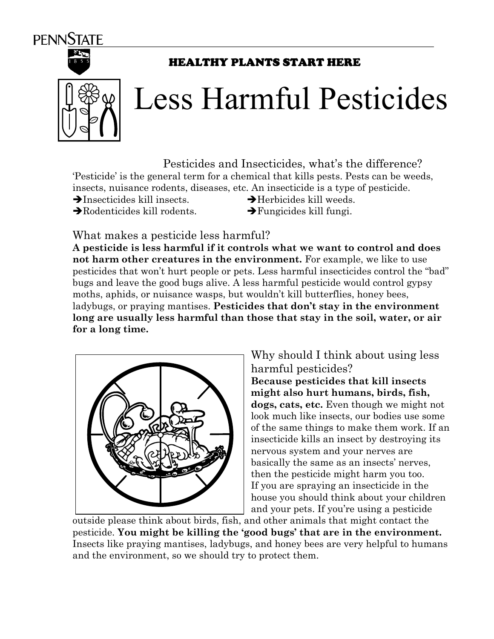



## HEALTHY PLANTS START HERE



## Less Harmful Pesticides

Pesticides and Insecticides, what's the difference?

'Pesticide' is the general term for a chemical that kills pests. Pests can be weeds, insects, nuisance rodents, diseases, etc. An insecticide is a type of pesticide.

- $\rightarrow$ Insecticides kill insects.  $\rightarrow$ Herbicides kill weeds.
	-
- $\rightarrow$ Rodenticides kill rodents.  $\rightarrow$ Fungicides kill fungi.

What makes a pesticide less harmful?

**A pesticide is less harmful if it controls what we want to control and does not harm other creatures in the environment.** For example, we like to use pesticides that won't hurt people or pets. Less harmful insecticides control the "bad" bugs and leave the good bugs alive. A less harmful pesticide would control gypsy moths, aphids, or nuisance wasps, but wouldn't kill butterflies, honey bees, ladybugs, or praying mantises. **Pesticides that don't stay in the environment long are usually less harmful than those that stay in the soil, water, or air for a long time.** 



Why should I think about using less harmful pesticides? **Because pesticides that kill insects might also hurt humans, birds, fish, dogs, cats, etc.** Even though we might not look much like insects, our bodies use some of the same things to make them work. If an insecticide kills an insect by destroying its nervous system and your nerves are basically the same as an insects' nerves, then the pesticide might harm you too. If you are spraying an insecticide in the house you should think about your children and your pets. If you're using a pesticide

outside please think about birds, fish, and other animals that might contact the pesticide. **You might be killing the 'good bugs' that are in the environment.** Insects like praying mantises, ladybugs, and honey bees are very helpful to humans and the environment, so we should try to protect them.